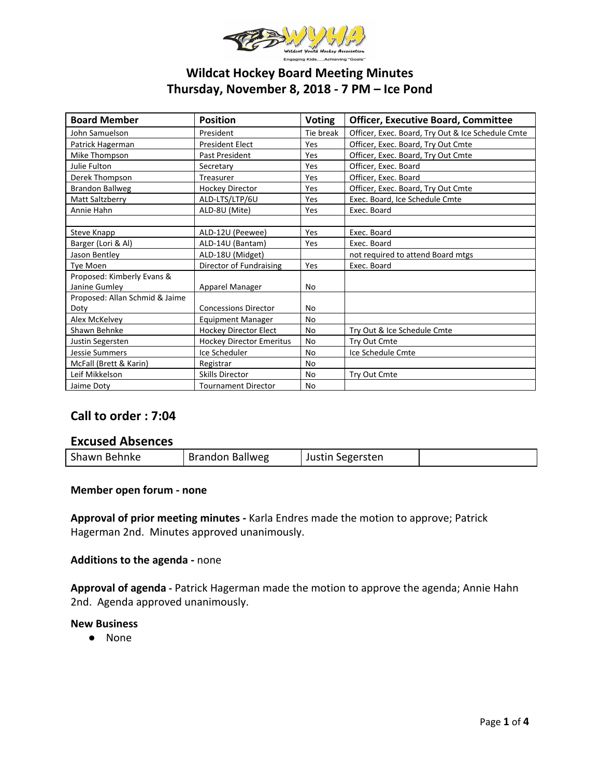

# **Wildcat Hockey Board Meeting Minutes Thursday, November 8, 2018 - 7 PM – Ice Pond**

| <b>Board Member</b>            | <b>Position</b>                 | <b>Voting</b> | <b>Officer, Executive Board, Committee</b>        |  |
|--------------------------------|---------------------------------|---------------|---------------------------------------------------|--|
| John Samuelson                 | President                       | Tie break     | Officer, Exec. Board, Try Out & Ice Schedule Cmte |  |
| Patrick Hagerman               | <b>President Elect</b>          | Yes           | Officer, Exec. Board, Try Out Cmte                |  |
| Mike Thompson                  | Past President                  | Yes           | Officer, Exec. Board, Try Out Cmte                |  |
| Julie Fulton                   | Secretary                       | Yes           | Officer, Exec. Board                              |  |
| Derek Thompson                 | Treasurer                       | Yes           | Officer, Exec. Board                              |  |
| <b>Brandon Ballweg</b>         | <b>Hockey Director</b>          | Yes           | Officer, Exec. Board, Try Out Cmte                |  |
| Matt Saltzberry                | ALD-LTS/LTP/6U                  | Yes           | Exec. Board, Ice Schedule Cmte                    |  |
| Annie Hahn                     | ALD-8U (Mite)                   | Yes           | Exec. Board                                       |  |
|                                |                                 |               |                                                   |  |
| Steve Knapp                    | ALD-12U (Peewee)                | Yes           | Exec. Board                                       |  |
| Barger (Lori & Al)             | ALD-14U (Bantam)                | Yes           | Exec. Board                                       |  |
| Jason Bentley                  | ALD-18U (Midget)                |               | not required to attend Board mtgs                 |  |
| Tye Moen                       | Director of Fundraising         | Yes           | Exec. Board                                       |  |
| Proposed: Kimberly Evans &     |                                 |               |                                                   |  |
| Janine Gumley                  | Apparel Manager                 | No            |                                                   |  |
| Proposed: Allan Schmid & Jaime |                                 |               |                                                   |  |
| Doty                           | <b>Concessions Director</b>     | No            |                                                   |  |
| Alex McKelvey                  | <b>Equipment Manager</b>        | No            |                                                   |  |
| Shawn Behnke                   | Hockey Director Elect           | <b>No</b>     | Try Out & Ice Schedule Cmte                       |  |
| Justin Segersten               | <b>Hockey Director Emeritus</b> | <b>No</b>     | Try Out Cmte                                      |  |
| <b>Jessie Summers</b>          | Ice Scheduler                   | <b>No</b>     | Ice Schedule Cmte                                 |  |
| McFall (Brett & Karin)         | Registrar                       | No            |                                                   |  |
| Leif Mikkelson                 | <b>Skills Director</b>          | No            | Try Out Cmte                                      |  |
| Jaime Doty                     | <b>Tournament Director</b>      | No            |                                                   |  |

# **Call to order : 7:04**

# **Excused Absences**

| Shawn Behnke | <b>Brandon Ballweg</b> | Justin Segersten |  |
|--------------|------------------------|------------------|--|
|--------------|------------------------|------------------|--|

### **Member open forum - none**

**Approval of prior meeting minutes -** Karla Endres made the motion to approve; Patrick Hagerman 2nd. Minutes approved unanimously.

### **Additions to the agenda -** none

**Approval of agenda -** Patrick Hagerman made the motion to approve the agenda; Annie Hahn 2nd. Agenda approved unanimously.

### **New Business**

● None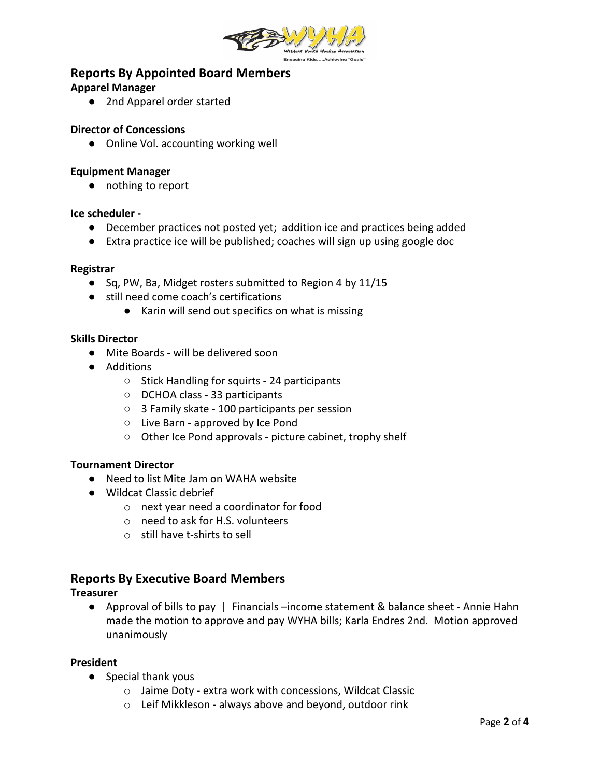

# **Reports By Appointed Board Members**

# **Apparel Manager**

**●** 2nd Apparel order started

# **Director of Concessions**

● Online Vol. accounting working well

## **Equipment Manager**

● nothing to report

## **Ice scheduler -**

- December practices not posted yet; addition ice and practices being added
- Extra practice ice will be published; coaches will sign up using google doc

### **Registrar**

- Sq, PW, Ba, Midget rosters submitted to Region 4 by 11/15
- still need come coach's certifications
	- Karin will send out specifics on what is missing

## **Skills Director**

- Mite Boards will be delivered soon
- Additions
	- Stick Handling for squirts 24 participants
	- DCHOA class 33 participants
	- 3 Family skate 100 participants per session
	- Live Barn approved by Ice Pond
	- Other Ice Pond approvals picture cabinet, trophy shelf

### **Tournament Director**

- Need to list Mite Jam on WAHA website
- Wildcat Classic debrief
	- o next year need a coordinator for food
	- o need to ask for H.S. volunteers
	- o still have t-shirts to sell

# **Reports By Executive Board Members**

### **Treasurer**

● Approval of bills to pay | Financials –income statement & balance sheet - Annie Hahn made the motion to approve and pay WYHA bills; Karla Endres 2nd. Motion approved unanimously

### **President**

- Special thank yous
	- o Jaime Doty extra work with concessions, Wildcat Classic
	- o Leif Mikkleson always above and beyond, outdoor rink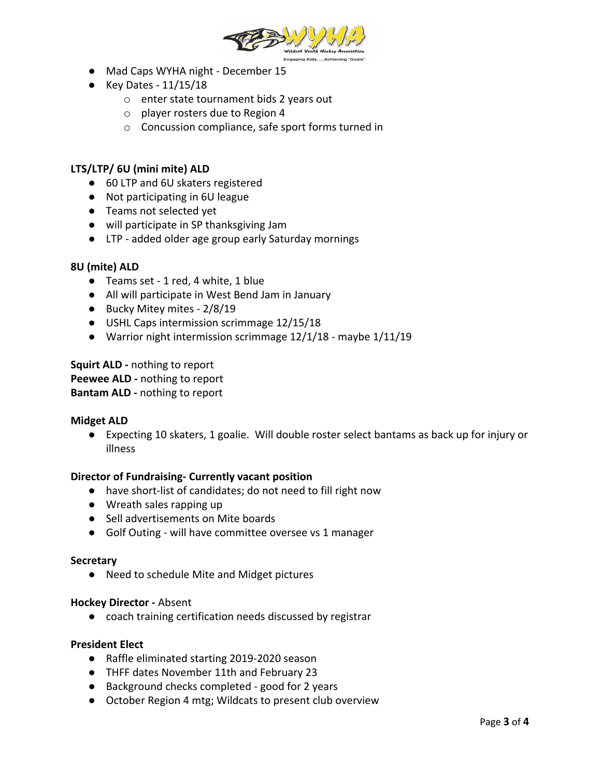

- Mad Caps WYHA night December 15
- Key Dates 11/15/18
	- o enter state tournament bids 2 years out
	- o player rosters due to Region 4
	- o Concussion compliance, safe sport forms turned in

## **LTS/LTP/ 6U (mini mite) ALD**

- 60 LTP and 6U skaters registered
- Not participating in 6U league
- Teams not selected yet
- will participate in SP thanksgiving Jam
- LTP added older age group early Saturday mornings

### **8U (mite) ALD**

- Teams set 1 red, 4 white, 1 blue
- All will participate in West Bend Jam in January
- Bucky Mitey mites 2/8/19
- USHL Caps intermission scrimmage 12/15/18
- Warrior night intermission scrimmage 12/1/18 maybe 1/11/19

**Squirt ALD -** nothing to report **Peewee ALD -** nothing to report **Bantam ALD -** nothing to report

### **Midget ALD**

● Expecting 10 skaters, 1 goalie. Will double roster select bantams as back up for injury or illness

### **Director of Fundraising- Currently vacant position**

- have short-list of candidates; do not need to fill right now
- Wreath sales rapping up
- Sell advertisements on Mite boards
- Golf Outing will have committee oversee vs 1 manager

### **Secretary**

● Need to schedule Mite and Midget pictures

### **Hockey Director -** Absent

● coach training certification needs discussed by registrar

### **President Elect**

- Raffle eliminated starting 2019-2020 season
- THFF dates November 11th and February 23
- Background checks completed good for 2 years
- October Region 4 mtg; Wildcats to present club overview